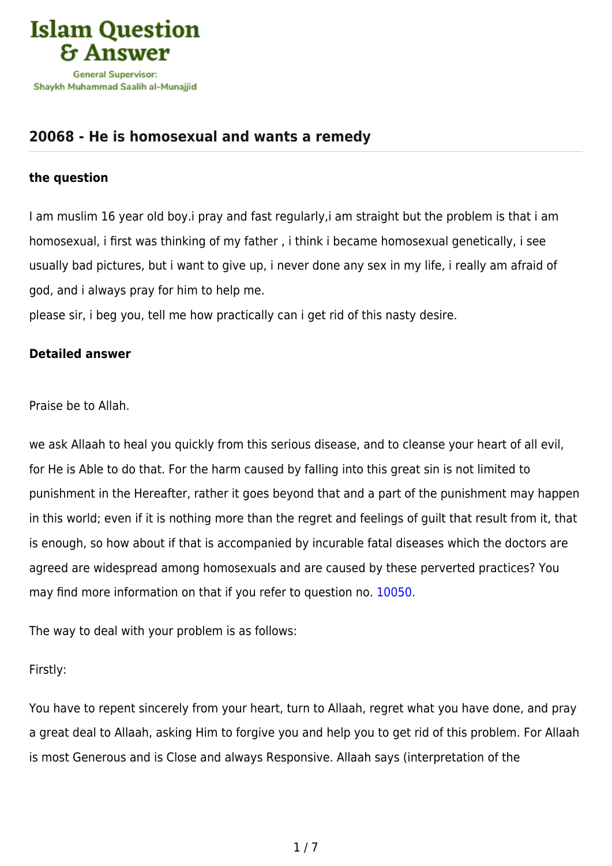

# **[20068 - He is homosexual and wants a remedy](https://islamqa.com/en/answers/20068/he-is-homosexual-and-wants-a-remedy)**

## **the question**

I am muslim 16 year old boy.i pray and fast regularly,i am straight but the problem is that i am homosexual, i first was thinking of my father , i think i became homosexual genetically, i see usually bad pictures, but i want to give up, i never done any sex in my life, i really am afraid of god, and i always pray for him to help me.

please sir, i beg you, tell me how practically can i get rid of this nasty desire.

## **Detailed answer**

Praise be to Allah.

we ask Allaah to heal you quickly from this serious disease, and to cleanse your heart of all evil, for He is Able to do that. For the harm caused by falling into this great sin is not limited to punishment in the Hereafter, rather it goes beyond that and a part of the punishment may happen in this world; even if it is nothing more than the regret and feelings of guilt that result from it, that is enough, so how about if that is accompanied by incurable fatal diseases which the doctors are agreed are widespread among homosexuals and are caused by these perverted practices? You may find more information on that if you refer to question no. [10050.](https://islamqa.com/en/answers/10050)

The way to deal with your problem is as follows:

Firstly:

You have to repent sincerely from your heart, turn to Allaah, regret what you have done, and pray a great deal to Allaah, asking Him to forgive you and help you to get rid of this problem. For Allaah is most Generous and is Close and always Responsive. Allaah says (interpretation of the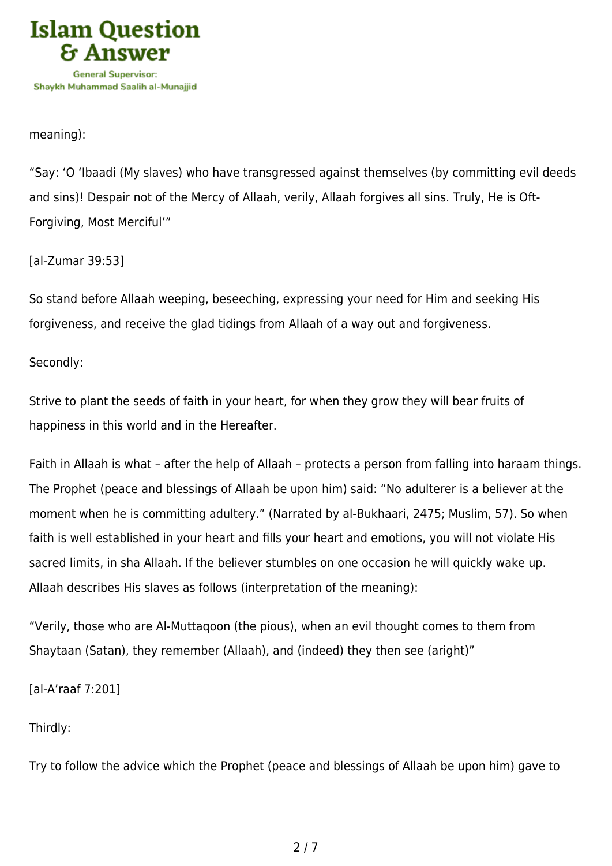

meaning):

"Say: 'O 'Ibaadi (My slaves) who have transgressed against themselves (by committing evil deeds and sins)! Despair not of the Mercy of Allaah, verily, Allaah forgives all sins. Truly, He is Oft-Forgiving, Most Merciful'"

[al-Zumar 39:53]

So stand before Allaah weeping, beseeching, expressing your need for Him and seeking His forgiveness, and receive the glad tidings from Allaah of a way out and forgiveness.

Secondly:

Strive to plant the seeds of faith in your heart, for when they grow they will bear fruits of happiness in this world and in the Hereafter.

Faith in Allaah is what – after the help of Allaah – protects a person from falling into haraam things. The Prophet (peace and blessings of Allaah be upon him) said: "No adulterer is a believer at the moment when he is committing adultery." (Narrated by al-Bukhaari, 2475; Muslim, 57). So when faith is well established in your heart and fills your heart and emotions, you will not violate His sacred limits, in sha Allaah. If the believer stumbles on one occasion he will quickly wake up. Allaah describes His slaves as follows (interpretation of the meaning):

"Verily, those who are Al-Muttaqoon (the pious), when an evil thought comes to them from Shaytaan (Satan), they remember (Allaah), and (indeed) they then see (aright)"

[al-A'raaf 7:201]

Thirdly:

Try to follow the advice which the Prophet (peace and blessings of Allaah be upon him) gave to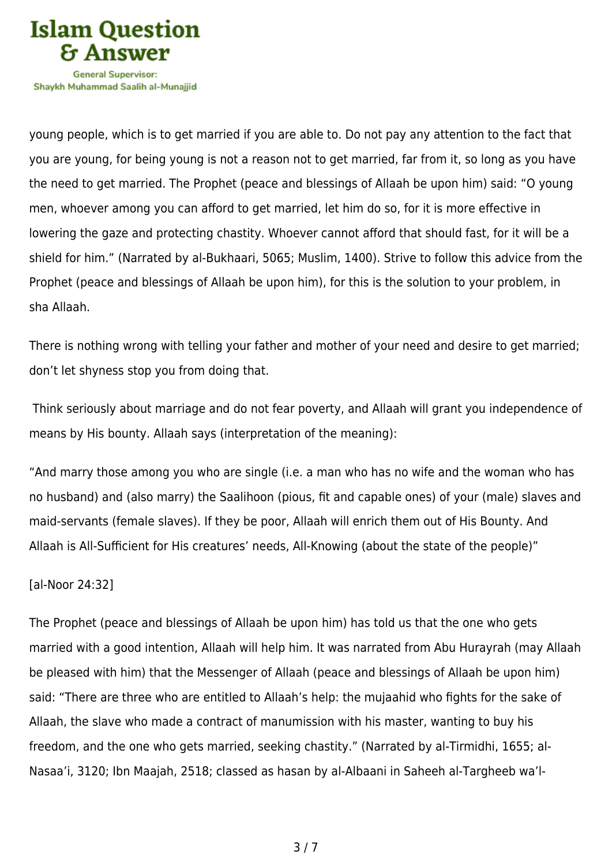

Shavkh Muhammad Saalih al-Munaiiid

young people, which is to get married if you are able to. Do not pay any attention to the fact that you are young, for being young is not a reason not to get married, far from it, so long as you have the need to get married. The Prophet (peace and blessings of Allaah be upon him) said: "O young men, whoever among you can afford to get married, let him do so, for it is more effective in lowering the gaze and protecting chastity. Whoever cannot afford that should fast, for it will be a shield for him." (Narrated by al-Bukhaari, 5065; Muslim, 1400). Strive to follow this advice from the Prophet (peace and blessings of Allaah be upon him), for this is the solution to your problem, in sha Allaah.

There is nothing wrong with telling your father and mother of your need and desire to get married; don't let shyness stop you from doing that.

 Think seriously about marriage and do not fear poverty, and Allaah will grant you independence of means by His bounty. Allaah says (interpretation of the meaning):

"And marry those among you who are single (i.e. a man who has no wife and the woman who has no husband) and (also marry) the Saalihoon (pious, fit and capable ones) of your (male) slaves and maid-servants (female slaves). If they be poor, Allaah will enrich them out of His Bounty. And Allaah is All-Sufficient for His creatures' needs, All-Knowing (about the state of the people)"

[al-Noor 24:32]

The Prophet (peace and blessings of Allaah be upon him) has told us that the one who gets married with a good intention, Allaah will help him. It was narrated from Abu Hurayrah (may Allaah be pleased with him) that the Messenger of Allaah (peace and blessings of Allaah be upon him) said: "There are three who are entitled to Allaah's help: the mujaahid who fights for the sake of Allaah, the slave who made a contract of manumission with his master, wanting to buy his freedom, and the one who gets married, seeking chastity." (Narrated by al-Tirmidhi, 1655; al-Nasaa'i, 3120; Ibn Maajah, 2518; classed as hasan by al-Albaani in Saheeh al-Targheeb wa'l-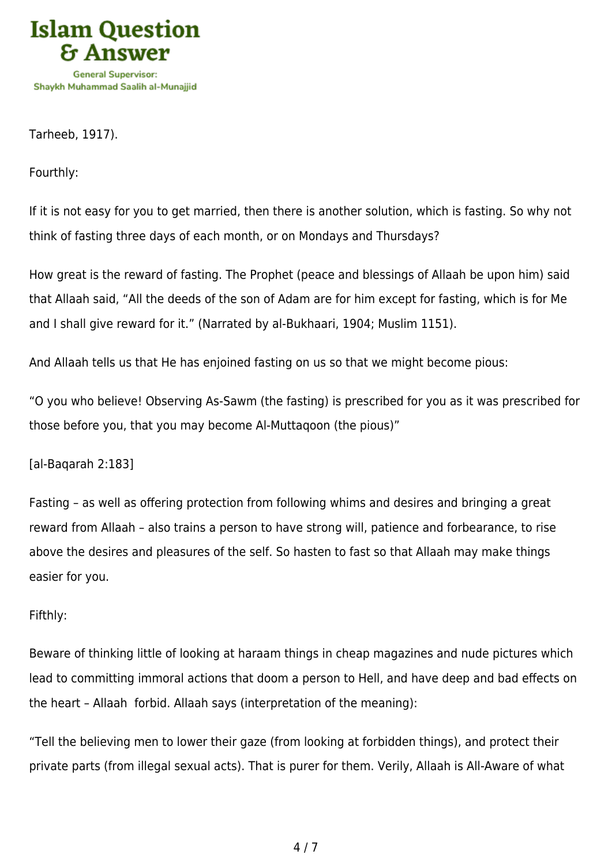

Tarheeb, 1917).

Fourthly:

If it is not easy for you to get married, then there is another solution, which is fasting. So why not think of fasting three days of each month, or on Mondays and Thursdays?

How great is the reward of fasting. The Prophet (peace and blessings of Allaah be upon him) said that Allaah said, "All the deeds of the son of Adam are for him except for fasting, which is for Me and I shall give reward for it." (Narrated by al-Bukhaari, 1904; Muslim 1151).

And Allaah tells us that He has enjoined fasting on us so that we might become pious:

"O you who believe! Observing As-Sawm (the fasting) is prescribed for you as it was prescribed for those before you, that you may become Al-Muttaqoon (the pious)"

[al-Baqarah 2:183]

Fasting – as well as offering protection from following whims and desires and bringing a great reward from Allaah – also trains a person to have strong will, patience and forbearance, to rise above the desires and pleasures of the self. So hasten to fast so that Allaah may make things easier for you.

# Fifthly:

Beware of thinking little of looking at haraam things in cheap magazines and nude pictures which lead to committing immoral actions that doom a person to Hell, and have deep and bad effects on the heart – Allaah forbid. Allaah says (interpretation of the meaning):

"Tell the believing men to lower their gaze (from looking at forbidden things), and protect their private parts (from illegal sexual acts). That is purer for them. Verily, Allaah is All-Aware of what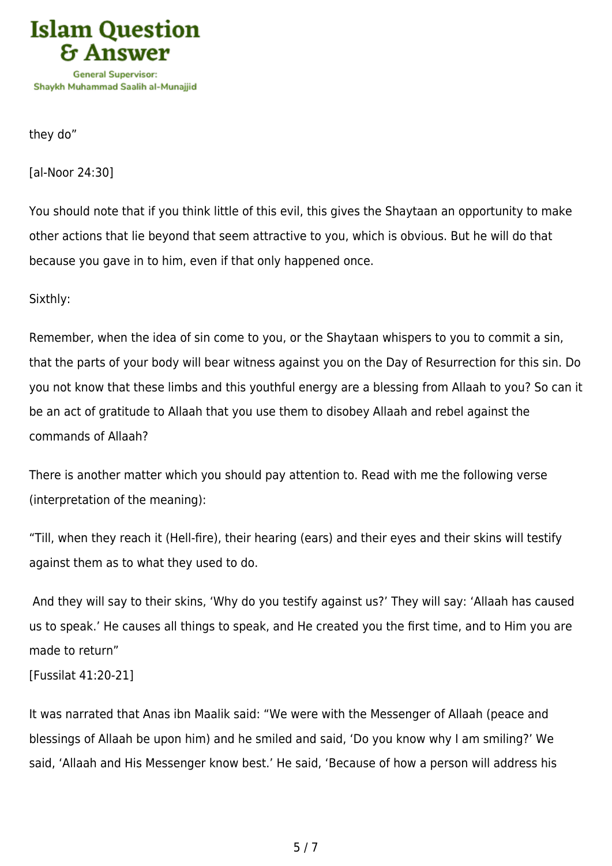

they do"

[al-Noor 24:30]

You should note that if you think little of this evil, this gives the Shaytaan an opportunity to make other actions that lie beyond that seem attractive to you, which is obvious. But he will do that because you gave in to him, even if that only happened once.

Sixthly:

Remember, when the idea of sin come to you, or the Shaytaan whispers to you to commit a sin, that the parts of your body will bear witness against you on the Day of Resurrection for this sin. Do you not know that these limbs and this youthful energy are a blessing from Allaah to you? So can it be an act of gratitude to Allaah that you use them to disobey Allaah and rebel against the commands of Allaah?

There is another matter which you should pay attention to. Read with me the following verse (interpretation of the meaning):

"Till, when they reach it (Hell-fire), their hearing (ears) and their eyes and their skins will testify against them as to what they used to do.

 And they will say to their skins, 'Why do you testify against us?' They will say: 'Allaah has caused us to speak.' He causes all things to speak, and He created you the first time, and to Him you are made to return"

[Fussilat 41:20-21]

It was narrated that Anas ibn Maalik said: "We were with the Messenger of Allaah (peace and blessings of Allaah be upon him) and he smiled and said, 'Do you know why I am smiling?' We said, 'Allaah and His Messenger know best.' He said, 'Because of how a person will address his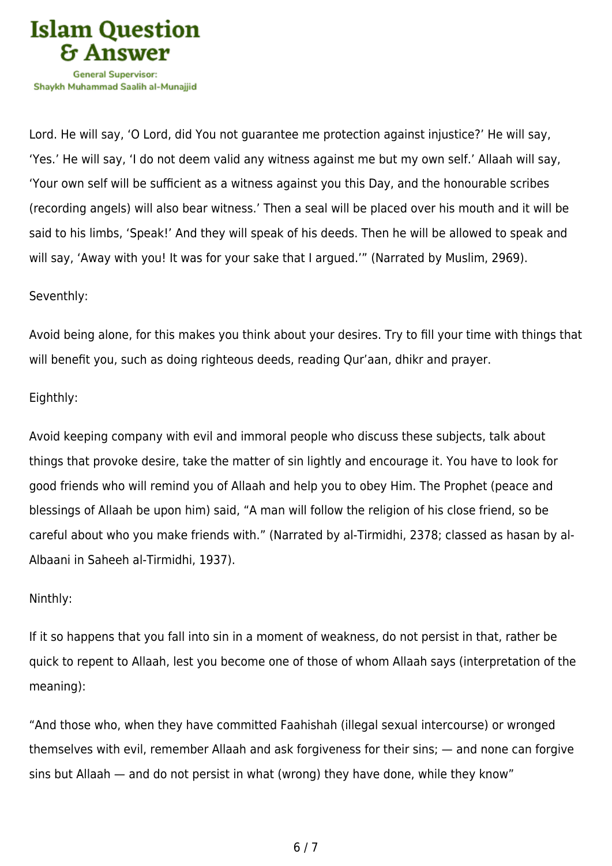

Lord. He will say, 'O Lord, did You not guarantee me protection against injustice?' He will say, 'Yes.' He will say, 'I do not deem valid any witness against me but my own self.' Allaah will say, 'Your own self will be sufficient as a witness against you this Day, and the honourable scribes (recording angels) will also bear witness.' Then a seal will be placed over his mouth and it will be said to his limbs, 'Speak!' And they will speak of his deeds. Then he will be allowed to speak and will say, 'Away with you! It was for your sake that I argued.'" (Narrated by Muslim, 2969).

### Seventhly:

Avoid being alone, for this makes you think about your desires. Try to fill your time with things that will benefit you, such as doing righteous deeds, reading Qur'aan, dhikr and prayer.

### Eighthly:

Avoid keeping company with evil and immoral people who discuss these subjects, talk about things that provoke desire, take the matter of sin lightly and encourage it. You have to look for good friends who will remind you of Allaah and help you to obey Him. The Prophet (peace and blessings of Allaah be upon him) said, "A man will follow the religion of his close friend, so be careful about who you make friends with." (Narrated by al-Tirmidhi, 2378; classed as hasan by al-Albaani in Saheeh al-Tirmidhi, 1937).

### Ninthly:

If it so happens that you fall into sin in a moment of weakness, do not persist in that, rather be quick to repent to Allaah, lest you become one of those of whom Allaah says (interpretation of the meaning):

"And those who, when they have committed Faahishah (illegal sexual intercourse) or wronged themselves with evil, remember Allaah and ask forgiveness for their sins; — and none can forgive sins but Allaah — and do not persist in what (wrong) they have done, while they know"